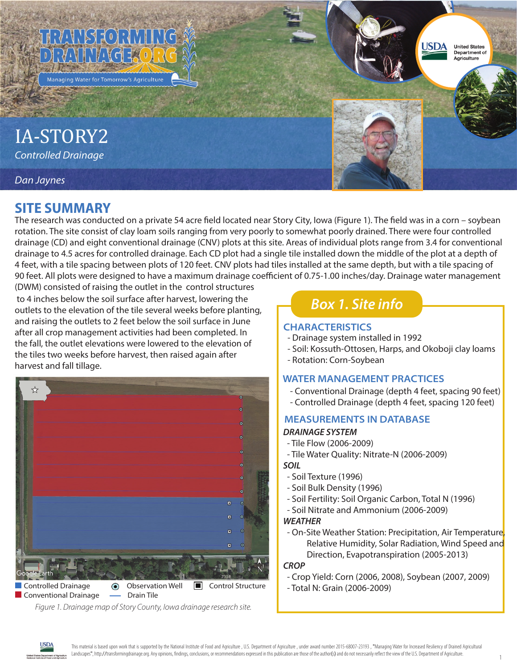

IA-STORY2 **Controlled Drainage** 

### Dan Jaynes

## **SITE SUMMARY**

The research was conducted on a private 54 acre field located near Story City, Iowa (Figure 1). The field was in a corn - soybean rotation. The site consist of clay loam soils ranging from very poorly to somewhat poorly drained. There were four controlled drainage (CD) and eight conventional drainage (CNV) plots at this site. Areas of individual plots range from 3.4 for conventional drainage to 4.5 acres for controlled drainage. Each CD plot had a single tile installed down the middle of the plot at a depth of 4 feet, with a tile spacing between plots of 120 feet. CNV plots had tiles installed at the same depth, but with a tile spacing of 90 feet. All plots were designed to have a maximum drainage coefficient of 0.75-1.00 inches/day. Drainage water management

(DWM) consisted of raising the outlet in the control structures to 4 inches below the soil surface after harvest, lowering the outlets to the elevation of the tile several weeks before planting, and raising the outlets to 2 feet below the soil surface in June after all crop management activities had been completed. In the fall, the outlet elevations were lowered to the elevation of the tiles two weeks before harvest, then raised again after harvest and fall tillage.



Figure 1. Drainage map of Story County, lowa drainage research site.

# **Box 1. Site info**

#### **CHARACTERISTICS**

- Drainage system installed in 1992
- Soil: Kossuth-Ottosen, Harps, and Okoboji clay loams

**USDA** 

**United States** Department of Agriculture

- Rotation: Corn-Soybean

### **WATER MANAGEMENT PRACTICES**

- Conventional Drainage (depth 4 feet, spacing 90 feet)
- Controlled Drainage (depth 4 feet, spacing 120 feet)

## **MEASUREMENTS IN DATABASE**

### **DRAINAGE SYSTEM**

- Tile Flow (2006-2009)
- Tile Water Quality: Nitrate-N (2006-2009) **SOIL**
- Soil Texture (1996)
- Soil Bulk Density (1996)
- Soil Fertility: Soil Organic Carbon, Total N (1996)
- Soil Nitrate and Ammonium (2006-2009)

#### **WEATHER**

- On-Site Weather Station: Precipitation, Air Temperature, Relative Humidity, Solar Radiation, Wind Speed and Direction, Evapotranspiration (2005-2013)

#### **CROP**

- Crop Yield: Corn (2006, 2008), Soybean (2007, 2009)
- Total N: Grain (2006-2009)